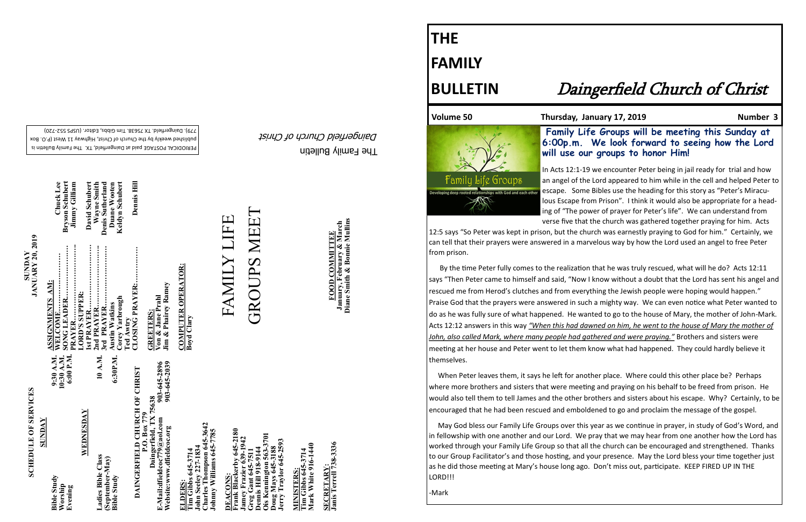The Family Bulletin Daingerfield Church of Christ

# **SCHEDULE OF SERVICES SCHEDULE OF SERVICES**

PERIODICAL POSTAGE paid at Daingerfield, TX. The Family Bulletin is published weekly by the Church of Christ, Highway 11 West (P.O. Box 720) - 779). Daingerfield. TX 75638. Tim Gibbs, Editor. (USPS 552

**David Schubert<br>Wayne Smith<br>Denis Sutherland<br>Duane Wooten<br>Keldyn Schubert SONG LEADER…………………. Bryson Schubert WELCOME…………………… Chuck Lee 2nd PRAYER…………………….. Wayne Smith Corey Yarbrough Keldyn Schubert PRAYER………………………….. Jimmy Gilliam 1st PRAYER……………………… David Schubert 3rd PRAYER……………………. Denis Sutherland Austin Watkins Duane Wooten ASSIGNMENTS AM:** Corey Yarbrough<br>Ted Awtry<br>CLOSING PRAYER: **LORD'S SUPPER:**  IVIE.........<br>EADER... ::::::::::::<br>SUPPER: **Lustin Watkins AYER** ≃ ٣J 9:30 A.M.<br>10:30 A.M.<br>6:00 P.M. 10 A.M. **Evening 6:00 P.M.** 6:30P.M. **Bible Study 9:30 A.M. Worship 10:30 A.M. Ladies Bible Class 10 A.M. Bible Study 6:30P.M.**

**Bryson Schubert**<br>Jimmy Gilliam

Chuck Lee

**SUNDAY**

Bible Study<br>Worship<br>Evening

**Frank Blackerby 645-2180**  lackerby 645-2180<br>razier 639-1942 3701 **Ois Kennington 563-3701 Jamey Frazier 639-1942 oug Mays 645-3188**<br>erry Traylor 645-2593 **Greg Gant 645-7511 Doug Mays 645-3188 Dennis Hill 918-9144** reg Gant 64:<br>ennis Hill 91 ningt **DEACONS:**  DEACONS mev

**WEDNESDAY**

**(September-May)**

Ladies Bible Class<br>(September-May)<br>Bible Study

MINISTERS:<br>Tim Gibbs 645-3714<br>Mark White 916-1440 **Mark White 916-1440 Tim Gibbs 645-3714 MINISTERS:**

**SECRETARY:<br>Janis Terrell 738-3336 Janis Terrell 738-3336 SECRETARY:**

**SUNDAY<br>JANUARY 20, 2019 JANUARY 20, 2019** 

> **Charles Thompson 645-3642**  645-3642 **Johnny Williams 645-7785**  John Seeley 227-1834<br>Charles Thompson 645-364<br>Johnny Williams 645-7785 **ELDERS:**<br>Tim Gibbs 645-3714<br>John Seeley 227-1834 **John Seeley 227-1834 Tim Gibbs 645-3714**

**GREETERS:**<br>Von & Jane Prahl<br>Jim & Phairey Ramey **Jim & Phairey Ramey Von & Jane Prahl GREETERS:** 

**COMPUTER OPERATOR:** COMPUTER OPERATOR:<br>Boyd Clary **FOOD COMMITTEE**<br>January, February & March<br>Diane Smith & Bonnie Mullins **January, February & March FOOD COMMITTEE**

**Jerry Traylor 645-2593**

e Groups <u> MARTIN MANAGEMENT MA</u> 12:5 says "So Peter was kept in prison, but the church was earnestly praying to God for him." Certainly, we can tell that their prayers were answered in a marvelous way by how the Lord used an angel to free Peter from prison.

**CLOSING PRAYER:…………… Dennis Hill** 

Dennis Hill

## GROUPS MEET **GROUPS MEET** FAMILY LIFE

**Diane Smith & Bonnie Mullins**

Volume 50 **Thursday, January 17, 2019** Mumber 3

### **THE FAMILY**

### **BULLETIN** Daingerfield Church of Christ

 **Family Life Groups will be meeting this Sunday at 6:00p.m. We look forward to seeing how the Lord will use our groups to honor Him!**

In Acts 12:1-19 we encounter Peter being in jail ready for trial and how an angel of the Lord appeared to him while in the cell and helped Peter to escape. Some Bibles use the heading for this story as "Peter's Miraculous Escape from Prison". I think it would also be appropriate for a heading of "The power of prayer for Peter's life". We can understand from verse five that the church was gathered together praying for him. Acts

 By the time Peter fully comes to the realization that he was truly rescued, what will he do? Acts 12:11 says "Then Peter came to himself and said, "Now I know without a doubt that the Lord has sent his angel and rescued me from Herod's clutches and from everything the Jewish people were hoping would happen." Praise God that the prayers were answered in such a mighty way. We can even notice what Peter wanted to do as he was fully sure of what happened. He wanted to go to the house of Mary, the mother of John-Mark. Acts 12:12 answers in this way *"When this had dawned on him, he went to the house of Mary the mother of John, also called Mark, where many people had gathered and were praying."* Brothers and sisters were meeting at her house and Peter went to let them know what had happened. They could hardly believe it themselves.

 When Peter leaves them, it says he left for another place. Where could this other place be? Perhaps where more brothers and sisters that were meeting and praying on his behalf to be freed from prison. He would also tell them to tell James and the other brothers and sisters about his escape. Why? Certainly, to be encouraged that he had been rescued and emboldened to go and proclaim the message of the gospel.

 May God bless our Family Life Groups over this year as we continue in prayer, in study of God's Word, and in fellowship with one another and our Lord. We pray that we may hear from one another how the Lord has worked through your Family Life Group so that all the church can be encouraged and strengthened. Thanks to our Group Facilitator's and those hosting, and your presence. May the Lord bless your time together just as he did those meeting at Mary's house long ago. Don't miss out, participate. KEEP FIRED UP IN THE LORD!!!

-Mark

903-645-2896<br>903-645-2039 **Website:www.dfieldcoc.org 903-645-2039 E-Mail:dfieldcoc779@aol.com 903-645-2896 DAINGERFIELD CHURCH OF CHRIST<br>P.O. Box 779<br>Daingerfield, TX 75638 DAINGERFIELD CHURCH OF CHRIST Daingerfield, TX 75638** E-Mail:dfieldcoc779@aol.com<br>Website:www.dfieldcoc.org